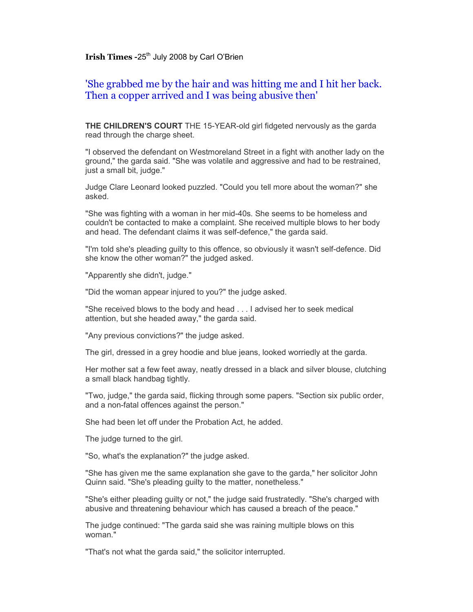**Irish Times -25<sup>th</sup> July 2008 by Carl O'Brien** 

## 'She grabbed me by the hair and was hitting me and I hit her back. Then a copper arrived and I was being abusive then'

**THE CHILDREN'S COURT** THE 15-YEAR-old girl fidgeted nervously as the garda read through the charge sheet.

"I observed the defendant on Westmoreland Street in a fight with another lady on the ground," the garda said. "She was volatile and aggressive and had to be restrained, just a small bit, judge."

Judge Clare Leonard looked puzzled. "Could you tell more about the woman?" she asked.

"She was fighting with a woman in her mid-40s. She seems to be homeless and couldn't be contacted to make a complaint. She received multiple blows to her body and head. The defendant claims it was self-defence," the garda said.

"I'm told she's pleading guilty to this offence, so obviously it wasn't self-defence. Did she know the other woman?" the judged asked.

"Apparently she didn't, judge."

"Did the woman appear injured to you?" the judge asked.

"She received blows to the body and head . . . I advised her to seek medical attention, but she headed away," the garda said.

"Any previous convictions?" the judge asked.

The girl, dressed in a grey hoodie and blue jeans, looked worriedly at the garda.

Her mother sat a few feet away, neatly dressed in a black and silver blouse, clutching a small black handbag tightly.

"Two, judge," the garda said, flicking through some papers. "Section six public order, and a non-fatal offences against the person."

She had been let off under the Probation Act, he added.

The judge turned to the girl.

"So, what's the explanation?" the judge asked.

"She has given me the same explanation she gave to the garda," her solicitor John Quinn said. "She's pleading guilty to the matter, nonetheless."

"She's either pleading guilty or not," the judge said frustratedly. "She's charged with abusive and threatening behaviour which has caused a breach of the peace."

The judge continued: "The garda said she was raining multiple blows on this woman."

"That's not what the garda said," the solicitor interrupted.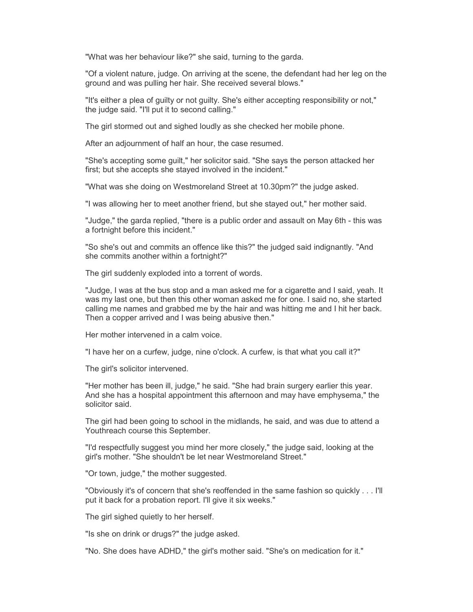"What was her behaviour like?" she said, turning to the garda.

"Of a violent nature, judge. On arriving at the scene, the defendant had her leg on the ground and was pulling her hair. She received several blows."

"It's either a plea of guilty or not guilty. She's either accepting responsibility or not," the judge said. "I'll put it to second calling."

The girl stormed out and sighed loudly as she checked her mobile phone.

After an adjournment of half an hour, the case resumed.

"She's accepting some guilt," her solicitor said. "She says the person attacked her first; but she accepts she stayed involved in the incident."

"What was she doing on Westmoreland Street at 10.30pm?" the judge asked.

"I was allowing her to meet another friend, but she stayed out," her mother said.

"Judge," the garda replied, "there is a public order and assault on May 6th - this was a fortnight before this incident."

"So she's out and commits an offence like this?" the judged said indignantly. "And she commits another within a fortnight?"

The girl suddenly exploded into a torrent of words.

"Judge, I was at the bus stop and a man asked me for a cigarette and I said, yeah. It was my last one, but then this other woman asked me for one. I said no, she started calling me names and grabbed me by the hair and was hitting me and I hit her back. Then a copper arrived and I was being abusive then."

Her mother intervened in a calm voice.

"I have her on a curfew, judge, nine o'clock. A curfew, is that what you call it?"

The girl's solicitor intervened.

"Her mother has been ill, judge," he said. "She had brain surgery earlier this year. And she has a hospital appointment this afternoon and may have emphysema," the solicitor said.

The girl had been going to school in the midlands, he said, and was due to attend a Youthreach course this September.

"I'd respectfully suggest you mind her more closely," the judge said, looking at the girl's mother. "She shouldn't be let near Westmoreland Street."

"Or town, judge," the mother suggested.

"Obviously it's of concern that she's reoffended in the same fashion so quickly . . . I'll put it back for a probation report. I'll give it six weeks."

The girl sighed quietly to her herself.

"Is she on drink or drugs?" the judge asked.

"No. She does have ADHD," the girl's mother said. "She's on medication for it."